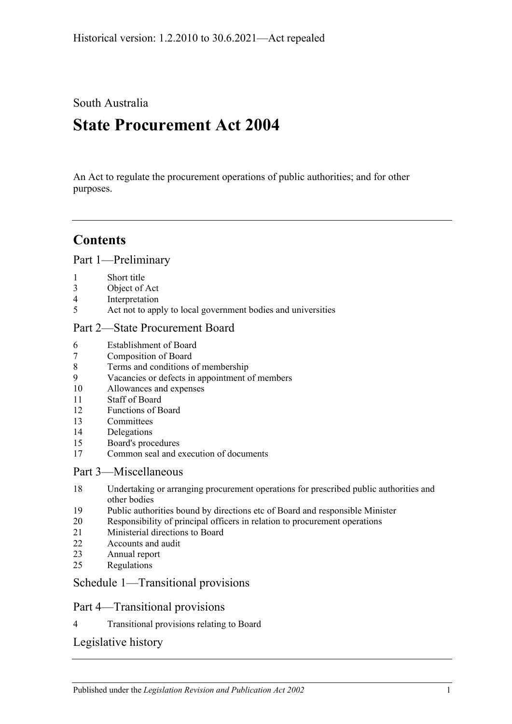South Australia

# **State Procurement Act 2004**

An Act to regulate the procurement operations of public authorities; and for other purposes.

# **Contents**

[Part 1—Preliminary](#page-1-0)

- [Short title](#page-1-1)
- [Object of Act](#page-1-2)
- [Interpretation](#page-1-3)
- [Act not to apply to local government bodies and universities](#page-2-0)

#### [Part 2—State Procurement Board](#page-2-1)

- [Establishment of Board](#page-2-2)
- [Composition of Board](#page-3-0)
- [Terms and conditions of membership](#page-3-1)
- [Vacancies or defects in appointment of members](#page-4-0)
- [Allowances and expenses](#page-4-1)
- [Staff of Board](#page-4-2)
- [Functions of Board](#page-4-3)
- [Committees](#page-5-0)
- [Delegations](#page-5-1)
- [Board's procedures](#page-6-0)
- [Common seal and execution of documents](#page-6-1)

#### [Part 3—Miscellaneous](#page-7-0)

- [Undertaking or arranging procurement operations for prescribed public authorities and](#page-7-1)  [other bodies](#page-7-1)
- [Public authorities bound by directions etc of Board and responsible Minister](#page-7-2)
- [Responsibility of principal officers in relation to procurement operations](#page-7-3)
- [Ministerial directions to Board](#page-7-4)
- [Accounts and audit](#page-7-5)
- [Annual report](#page-8-0)
- [Regulations](#page-8-1)

#### [Schedule 1—Transitional provisions](#page-8-2)

#### Part 4—Transitional provisions

[Transitional provisions relating to Board](#page-8-3)

#### [Legislative history](#page-9-0)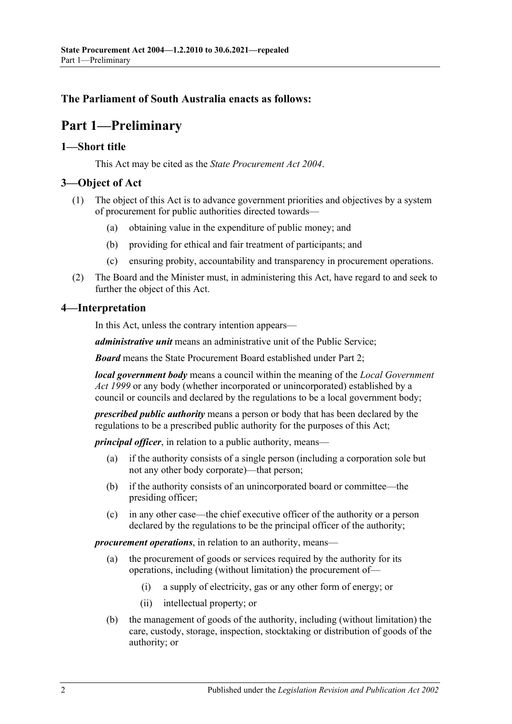#### <span id="page-1-0"></span>**The Parliament of South Australia enacts as follows:**

# **Part 1—Preliminary**

#### <span id="page-1-1"></span>**1—Short title**

This Act may be cited as the *State Procurement Act 2004*.

#### <span id="page-1-2"></span>**3—Object of Act**

- (1) The object of this Act is to advance government priorities and objectives by a system of procurement for public authorities directed towards—
	- (a) obtaining value in the expenditure of public money; and
	- (b) providing for ethical and fair treatment of participants; and
	- (c) ensuring probity, accountability and transparency in procurement operations.
- (2) The Board and the Minister must, in administering this Act, have regard to and seek to further the object of this Act.

#### <span id="page-1-3"></span>**4—Interpretation**

In this Act, unless the contrary intention appears—

*administrative unit* means an administrative unit of the Public Service;

*Board* means the State Procurement Board established under [Part 2;](#page-2-1)

*local government body* means a council within the meaning of the *[Local Government](http://www.legislation.sa.gov.au/index.aspx?action=legref&type=act&legtitle=Local%20Government%20Act%201999)  Act [1999](http://www.legislation.sa.gov.au/index.aspx?action=legref&type=act&legtitle=Local%20Government%20Act%201999)* or any body (whether incorporated or unincorporated) established by a council or councils and declared by the regulations to be a local government body;

*prescribed public authority* means a person or body that has been declared by the regulations to be a prescribed public authority for the purposes of this Act;

*principal officer*, in relation to a public authority, means-

- (a) if the authority consists of a single person (including a corporation sole but not any other body corporate)—that person;
- (b) if the authority consists of an unincorporated board or committee—the presiding officer;
- (c) in any other case—the chief executive officer of the authority or a person declared by the regulations to be the principal officer of the authority;

*procurement operations*, in relation to an authority, means—

- (a) the procurement of goods or services required by the authority for its operations, including (without limitation) the procurement of—
	- (i) a supply of electricity, gas or any other form of energy; or
	- (ii) intellectual property; or
- (b) the management of goods of the authority, including (without limitation) the care, custody, storage, inspection, stocktaking or distribution of goods of the authority; or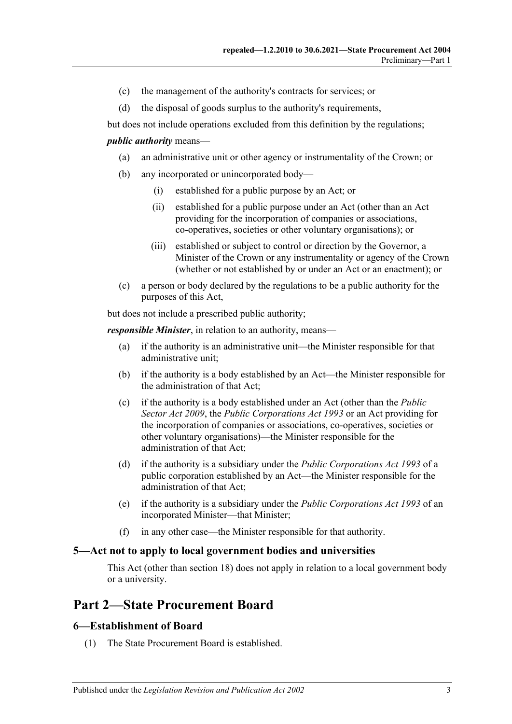- (c) the management of the authority's contracts for services; or
- (d) the disposal of goods surplus to the authority's requirements,

but does not include operations excluded from this definition by the regulations;

#### *public authority* means—

- (a) an administrative unit or other agency or instrumentality of the Crown; or
- (b) any incorporated or unincorporated body—
	- (i) established for a public purpose by an Act; or
	- (ii) established for a public purpose under an Act (other than an Act providing for the incorporation of companies or associations, co-operatives, societies or other voluntary organisations); or
	- (iii) established or subject to control or direction by the Governor, a Minister of the Crown or any instrumentality or agency of the Crown (whether or not established by or under an Act or an enactment); or
- (c) a person or body declared by the regulations to be a public authority for the purposes of this Act,

but does not include a prescribed public authority;

*responsible Minister*, in relation to an authority, means—

- (a) if the authority is an administrative unit—the Minister responsible for that administrative unit;
- (b) if the authority is a body established by an Act—the Minister responsible for the administration of that Act;
- (c) if the authority is a body established under an Act (other than the *[Public](http://www.legislation.sa.gov.au/index.aspx?action=legref&type=act&legtitle=Public%20Sector%20Act%202009)  [Sector Act](http://www.legislation.sa.gov.au/index.aspx?action=legref&type=act&legtitle=Public%20Sector%20Act%202009) 2009*, the *[Public Corporations Act](http://www.legislation.sa.gov.au/index.aspx?action=legref&type=act&legtitle=Public%20Corporations%20Act%201993) 1993* or an Act providing for the incorporation of companies or associations, co-operatives, societies or other voluntary organisations)—the Minister responsible for the administration of that Act;
- (d) if the authority is a subsidiary under the *[Public Corporations Act](http://www.legislation.sa.gov.au/index.aspx?action=legref&type=act&legtitle=Public%20Corporations%20Act%201993) 1993* of a public corporation established by an Act—the Minister responsible for the administration of that Act;
- (e) if the authority is a subsidiary under the *[Public Corporations Act](http://www.legislation.sa.gov.au/index.aspx?action=legref&type=act&legtitle=Public%20Corporations%20Act%201993) 1993* of an incorporated Minister—that Minister;
- (f) in any other case—the Minister responsible for that authority.

#### <span id="page-2-0"></span>**5—Act not to apply to local government bodies and universities**

This Act (other than [section](#page-7-1) 18) does not apply in relation to a local government body or a university.

# <span id="page-2-1"></span>**Part 2—State Procurement Board**

#### <span id="page-2-2"></span>**6—Establishment of Board**

(1) The State Procurement Board is established.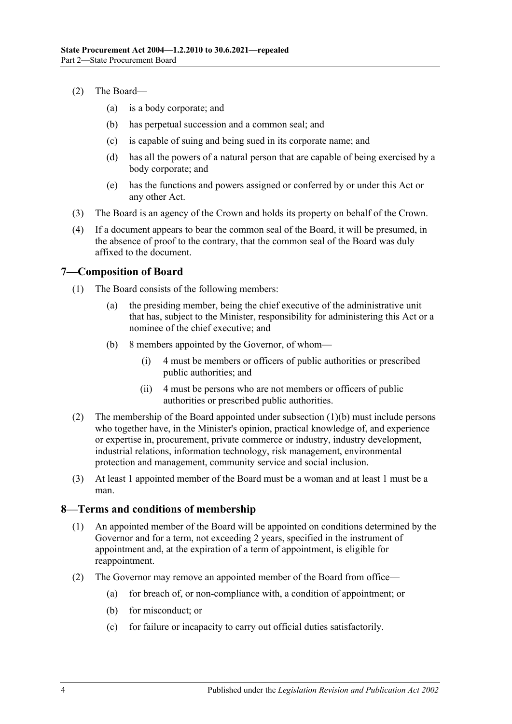- (2) The Board—
	- (a) is a body corporate; and
	- (b) has perpetual succession and a common seal; and
	- (c) is capable of suing and being sued in its corporate name; and
	- (d) has all the powers of a natural person that are capable of being exercised by a body corporate; and
	- (e) has the functions and powers assigned or conferred by or under this Act or any other Act.
- (3) The Board is an agency of the Crown and holds its property on behalf of the Crown.
- (4) If a document appears to bear the common seal of the Board, it will be presumed, in the absence of proof to the contrary, that the common seal of the Board was duly affixed to the document.

#### <span id="page-3-0"></span>**7—Composition of Board**

- <span id="page-3-2"></span>(1) The Board consists of the following members:
	- (a) the presiding member, being the chief executive of the administrative unit that has, subject to the Minister, responsibility for administering this Act or a nominee of the chief executive; and
	- (b) 8 members appointed by the Governor, of whom—
		- (i) 4 must be members or officers of public authorities or prescribed public authorities; and
		- (ii) 4 must be persons who are not members or officers of public authorities or prescribed public authorities.
- <span id="page-3-3"></span>(2) The membership of the Board appointed under [subsection](#page-3-2) (1)(b) must include persons who together have, in the Minister's opinion, practical knowledge of, and experience or expertise in, procurement, private commerce or industry, industry development, industrial relations, information technology, risk management, environmental protection and management, community service and social inclusion.
- (3) At least 1 appointed member of the Board must be a woman and at least 1 must be a man.

#### <span id="page-3-1"></span>**8—Terms and conditions of membership**

- (1) An appointed member of the Board will be appointed on conditions determined by the Governor and for a term, not exceeding 2 years, specified in the instrument of appointment and, at the expiration of a term of appointment, is eligible for reappointment.
- <span id="page-3-4"></span>(2) The Governor may remove an appointed member of the Board from office—
	- (a) for breach of, or non-compliance with, a condition of appointment; or
	- (b) for misconduct; or
	- (c) for failure or incapacity to carry out official duties satisfactorily.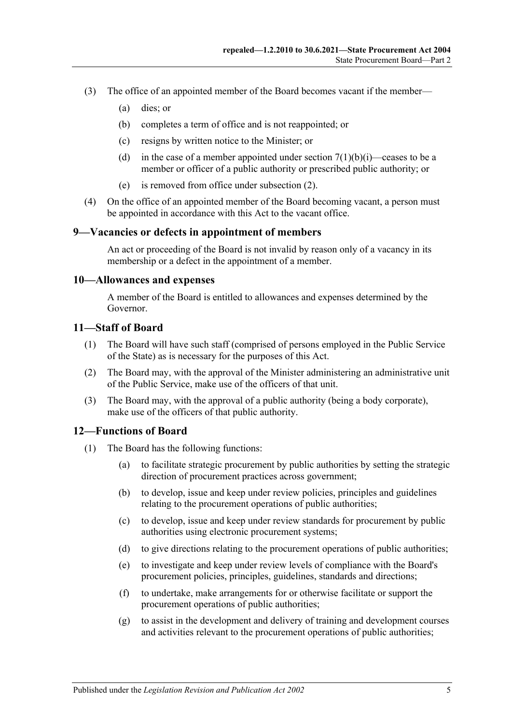- (3) The office of an appointed member of the Board becomes vacant if the member—
	- (a) dies; or
	- (b) completes a term of office and is not reappointed; or
	- (c) resigns by written notice to the Minister; or
	- (d) in the case of a member appointed under section  $7(1)(b)(i)$ —ceases to be a member or officer of a public authority or prescribed public authority; or
	- (e) is removed from office under [subsection](#page-3-4) (2).
- (4) On the office of an appointed member of the Board becoming vacant, a person must be appointed in accordance with this Act to the vacant office.

#### <span id="page-4-0"></span>**9—Vacancies or defects in appointment of members**

An act or proceeding of the Board is not invalid by reason only of a vacancy in its membership or a defect in the appointment of a member.

#### <span id="page-4-1"></span>**10—Allowances and expenses**

A member of the Board is entitled to allowances and expenses determined by the Governor.

#### <span id="page-4-2"></span>**11—Staff of Board**

- (1) The Board will have such staff (comprised of persons employed in the Public Service of the State) as is necessary for the purposes of this Act.
- (2) The Board may, with the approval of the Minister administering an administrative unit of the Public Service, make use of the officers of that unit.
- (3) The Board may, with the approval of a public authority (being a body corporate), make use of the officers of that public authority.

#### <span id="page-4-3"></span>**12—Functions of Board**

- (1) The Board has the following functions:
	- (a) to facilitate strategic procurement by public authorities by setting the strategic direction of procurement practices across government;
	- (b) to develop, issue and keep under review policies, principles and guidelines relating to the procurement operations of public authorities;
	- (c) to develop, issue and keep under review standards for procurement by public authorities using electronic procurement systems;
	- (d) to give directions relating to the procurement operations of public authorities;
	- (e) to investigate and keep under review levels of compliance with the Board's procurement policies, principles, guidelines, standards and directions;
	- (f) to undertake, make arrangements for or otherwise facilitate or support the procurement operations of public authorities;
	- (g) to assist in the development and delivery of training and development courses and activities relevant to the procurement operations of public authorities;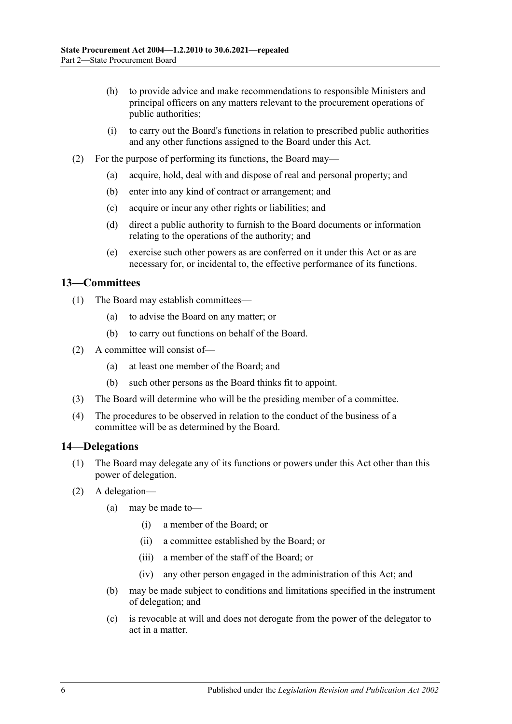- (h) to provide advice and make recommendations to responsible Ministers and principal officers on any matters relevant to the procurement operations of public authorities;
- (i) to carry out the Board's functions in relation to prescribed public authorities and any other functions assigned to the Board under this Act.
- (2) For the purpose of performing its functions, the Board may—
	- (a) acquire, hold, deal with and dispose of real and personal property; and
	- (b) enter into any kind of contract or arrangement; and
	- (c) acquire or incur any other rights or liabilities; and
	- (d) direct a public authority to furnish to the Board documents or information relating to the operations of the authority; and
	- (e) exercise such other powers as are conferred on it under this Act or as are necessary for, or incidental to, the effective performance of its functions.

#### <span id="page-5-0"></span>**13—Committees**

- (1) The Board may establish committees—
	- (a) to advise the Board on any matter; or
	- (b) to carry out functions on behalf of the Board.
- (2) A committee will consist of—
	- (a) at least one member of the Board; and
	- (b) such other persons as the Board thinks fit to appoint.
- (3) The Board will determine who will be the presiding member of a committee.
- (4) The procedures to be observed in relation to the conduct of the business of a committee will be as determined by the Board.

#### <span id="page-5-1"></span>**14—Delegations**

- (1) The Board may delegate any of its functions or powers under this Act other than this power of delegation.
- (2) A delegation—
	- (a) may be made to—
		- (i) a member of the Board; or
		- (ii) a committee established by the Board; or
		- (iii) a member of the staff of the Board; or
		- (iv) any other person engaged in the administration of this Act; and
	- (b) may be made subject to conditions and limitations specified in the instrument of delegation; and
	- (c) is revocable at will and does not derogate from the power of the delegator to act in a matter.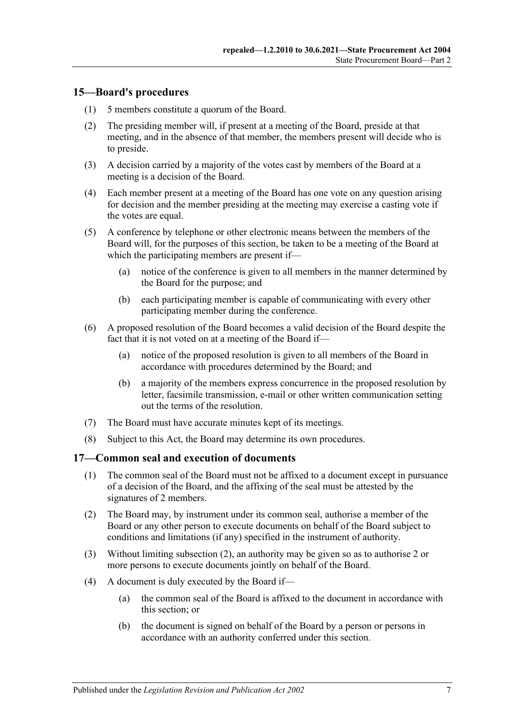#### <span id="page-6-0"></span>**15—Board's procedures**

- (1) 5 members constitute a quorum of the Board.
- (2) The presiding member will, if present at a meeting of the Board, preside at that meeting, and in the absence of that member, the members present will decide who is to preside.
- (3) A decision carried by a majority of the votes cast by members of the Board at a meeting is a decision of the Board.
- (4) Each member present at a meeting of the Board has one vote on any question arising for decision and the member presiding at the meeting may exercise a casting vote if the votes are equal.
- (5) A conference by telephone or other electronic means between the members of the Board will, for the purposes of this section, be taken to be a meeting of the Board at which the participating members are present if—
	- (a) notice of the conference is given to all members in the manner determined by the Board for the purpose; and
	- (b) each participating member is capable of communicating with every other participating member during the conference.
- (6) A proposed resolution of the Board becomes a valid decision of the Board despite the fact that it is not voted on at a meeting of the Board if—
	- (a) notice of the proposed resolution is given to all members of the Board in accordance with procedures determined by the Board; and
	- (b) a majority of the members express concurrence in the proposed resolution by letter, facsimile transmission, e-mail or other written communication setting out the terms of the resolution.
- (7) The Board must have accurate minutes kept of its meetings.
- (8) Subject to this Act, the Board may determine its own procedures.

#### <span id="page-6-1"></span>**17—Common seal and execution of documents**

- (1) The common seal of the Board must not be affixed to a document except in pursuance of a decision of the Board, and the affixing of the seal must be attested by the signatures of 2 members.
- <span id="page-6-2"></span>(2) The Board may, by instrument under its common seal, authorise a member of the Board or any other person to execute documents on behalf of the Board subject to conditions and limitations (if any) specified in the instrument of authority.
- (3) Without limiting [subsection](#page-6-2) (2), an authority may be given so as to authorise 2 or more persons to execute documents jointly on behalf of the Board.
- (4) A document is duly executed by the Board if—
	- (a) the common seal of the Board is affixed to the document in accordance with this section; or
	- (b) the document is signed on behalf of the Board by a person or persons in accordance with an authority conferred under this section.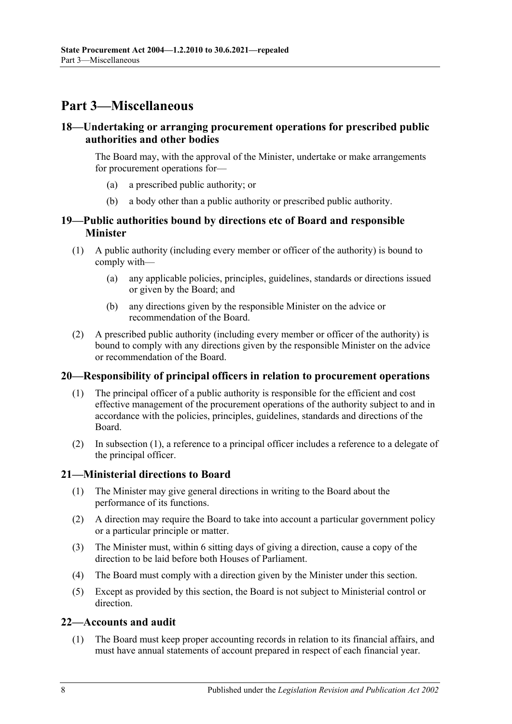# <span id="page-7-0"></span>**Part 3—Miscellaneous**

#### <span id="page-7-1"></span>**18—Undertaking or arranging procurement operations for prescribed public authorities and other bodies**

The Board may, with the approval of the Minister, undertake or make arrangements for procurement operations for—

- (a) a prescribed public authority; or
- (b) a body other than a public authority or prescribed public authority.

#### <span id="page-7-2"></span>**19—Public authorities bound by directions etc of Board and responsible Minister**

- (1) A public authority (including every member or officer of the authority) is bound to comply with—
	- (a) any applicable policies, principles, guidelines, standards or directions issued or given by the Board; and
	- (b) any directions given by the responsible Minister on the advice or recommendation of the Board.
- (2) A prescribed public authority (including every member or officer of the authority) is bound to comply with any directions given by the responsible Minister on the advice or recommendation of the Board.

#### <span id="page-7-6"></span><span id="page-7-3"></span>**20—Responsibility of principal officers in relation to procurement operations**

- (1) The principal officer of a public authority is responsible for the efficient and cost effective management of the procurement operations of the authority subject to and in accordance with the policies, principles, guidelines, standards and directions of the Board.
- (2) In [subsection](#page-7-6) (1), a reference to a principal officer includes a reference to a delegate of the principal officer.

#### <span id="page-7-4"></span>**21—Ministerial directions to Board**

- (1) The Minister may give general directions in writing to the Board about the performance of its functions.
- (2) A direction may require the Board to take into account a particular government policy or a particular principle or matter.
- (3) The Minister must, within 6 sitting days of giving a direction, cause a copy of the direction to be laid before both Houses of Parliament.
- (4) The Board must comply with a direction given by the Minister under this section.
- (5) Except as provided by this section, the Board is not subject to Ministerial control or direction.

#### <span id="page-7-5"></span>**22—Accounts and audit**

(1) The Board must keep proper accounting records in relation to its financial affairs, and must have annual statements of account prepared in respect of each financial year.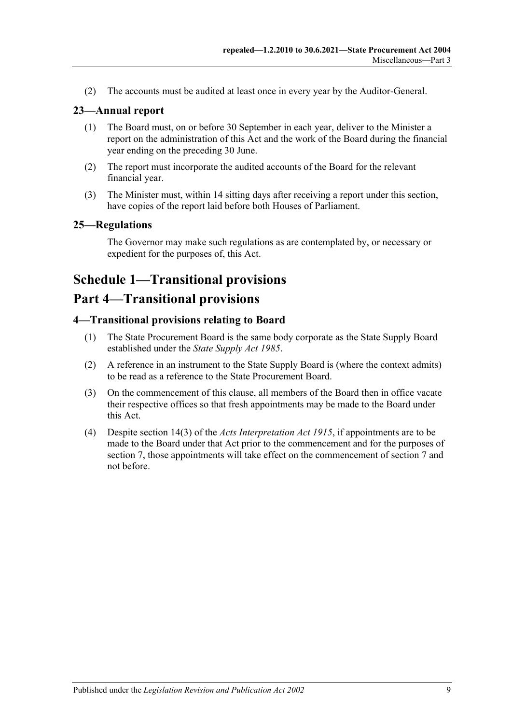(2) The accounts must be audited at least once in every year by the Auditor-General.

#### <span id="page-8-0"></span>**23—Annual report**

- (1) The Board must, on or before 30 September in each year, deliver to the Minister a report on the administration of this Act and the work of the Board during the financial year ending on the preceding 30 June.
- (2) The report must incorporate the audited accounts of the Board for the relevant financial year.
- (3) The Minister must, within 14 sitting days after receiving a report under this section, have copies of the report laid before both Houses of Parliament.

#### <span id="page-8-1"></span>**25—Regulations**

The Governor may make such regulations as are contemplated by, or necessary or expedient for the purposes of, this Act.

# <span id="page-8-2"></span>**Schedule 1—Transitional provisions**

# **Part 4—Transitional provisions**

#### <span id="page-8-3"></span>**4—Transitional provisions relating to Board**

- (1) The State Procurement Board is the same body corporate as the State Supply Board established under the *[State Supply Act](http://www.legislation.sa.gov.au/index.aspx?action=legref&type=act&legtitle=State%20Supply%20Act%201985) 1985*.
- (2) A reference in an instrument to the State Supply Board is (where the context admits) to be read as a reference to the State Procurement Board.
- (3) On the commencement of this clause, all members of the Board then in office vacate their respective offices so that fresh appointments may be made to the Board under this Act.
- (4) Despite section 14(3) of the *[Acts Interpretation Act](http://www.legislation.sa.gov.au/index.aspx?action=legref&type=act&legtitle=Acts%20Interpretation%20Act%201915) 1915*, if appointments are to be made to the Board under that Act prior to the commencement and for the purposes of [section](#page-3-0) 7, those appointments will take effect on the commencement of [section](#page-3-0) 7 and not before.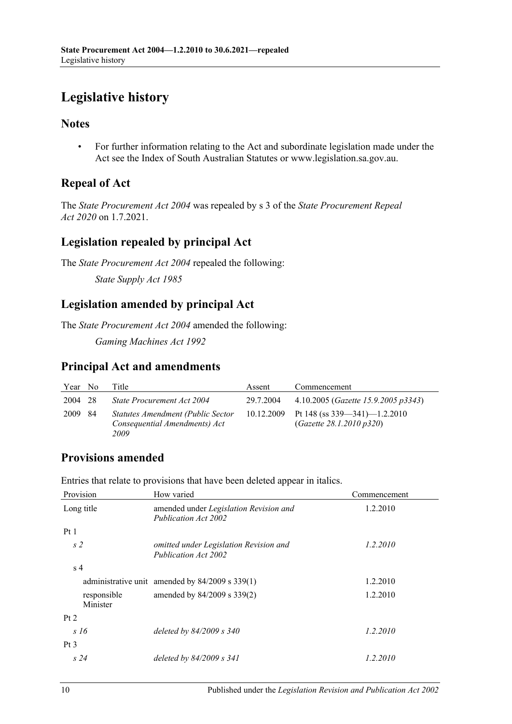# <span id="page-9-0"></span>**Legislative history**

#### **Notes**

• For further information relating to the Act and subordinate legislation made under the Act see the Index of South Australian Statutes or www.legislation.sa.gov.au.

# **Repeal of Act**

The *State Procurement Act 2004* was repealed by s 3 of the *State Procurement Repeal Act 2020* on 1.7.2021.

### **Legislation repealed by principal Act**

The *State Procurement Act 2004* repealed the following:

*State Supply Act 1985*

## **Legislation amended by principal Act**

The *State Procurement Act 2004* amended the following:

*Gaming Machines Act 1992*

### **Principal Act and amendments**

| Year No | Title                                                                      | Assent    | Commencement                                                             |
|---------|----------------------------------------------------------------------------|-----------|--------------------------------------------------------------------------|
| 2004 28 | State Procurement Act 2004                                                 | 29.7.2004 | 4.10.2005 ( <i>Gazette 15.9.2005 p3343</i> )                             |
| 2009 84 | Statutes Amendment (Public Sector<br>Consequential Amendments) Act<br>2009 |           | 10.12.2009 Pt 148 (ss $339 - 341$ )-1.2.2010<br>(Gazette 28.1.2010 p320) |

# **Provisions amended**

Entries that relate to provisions that have been deleted appear in italics.

| Provision               | How varied                                                     | Commencement |
|-------------------------|----------------------------------------------------------------|--------------|
| Long title              | amended under Legislation Revision and<br>Publication Act 2002 | 1.2.2010     |
| Pt1                     |                                                                |              |
| s <sub>2</sub>          | omitted under Legislation Revision and<br>Publication Act 2002 | 1.2.2010     |
| s <sub>4</sub>          |                                                                |              |
|                         | administrative unit amended by $84/2009$ s $339(1)$            | 1.2.2010     |
| responsible<br>Minister | amended by 84/2009 s 339(2)                                    | 1.2.2010     |
| Pt 2                    |                                                                |              |
| s 16                    | deleted by 84/2009 s 340                                       | 1.2.2010     |
| $Pt\,3$                 |                                                                |              |
| s24                     | deleted by $84/2009$ s $341$                                   | 1.2.2010     |